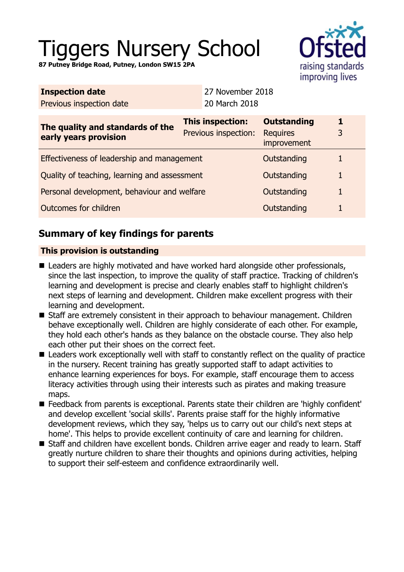# Tiggers Nursery School

**87 Putney Bridge Road, Putney, London SW15 2PA**

| <b>Inspection date</b>                                    |                                                 | 27 November 2018 |                                                      |   |
|-----------------------------------------------------------|-------------------------------------------------|------------------|------------------------------------------------------|---|
| Previous inspection date                                  |                                                 | 20 March 2018    |                                                      |   |
| The quality and standards of the<br>early years provision | <b>This inspection:</b><br>Previous inspection: |                  | <b>Outstanding</b><br><b>Requires</b><br>improvement | 3 |
| Effectiveness of leadership and management                |                                                 |                  | Outstanding                                          |   |
| Quality of teaching, learning and assessment              |                                                 |                  | Outstanding                                          |   |
| Personal development, behaviour and welfare               |                                                 |                  | Outstanding                                          |   |
| Outcomes for children                                     |                                                 |                  | Outstanding                                          |   |

## **Summary of key findings for parents**

## **This provision is outstanding**

- Leaders are highly motivated and have worked hard alongside other professionals, since the last inspection, to improve the quality of staff practice. Tracking of children's learning and development is precise and clearly enables staff to highlight children's next steps of learning and development. Children make excellent progress with their learning and development.
- Staff are extremely consistent in their approach to behaviour management. Children behave exceptionally well. Children are highly considerate of each other. For example, they hold each other's hands as they balance on the obstacle course. They also help each other put their shoes on the correct feet.
- **E** Leaders work exceptionally well with staff to constantly reflect on the quality of practice in the nursery. Recent training has greatly supported staff to adapt activities to enhance learning experiences for boys. For example, staff encourage them to access literacy activities through using their interests such as pirates and making treasure maps.
- Feedback from parents is exceptional. Parents state their children are 'highly confident' and develop excellent 'social skills'. Parents praise staff for the highly informative development reviews, which they say, 'helps us to carry out our child's next steps at home'. This helps to provide excellent continuity of care and learning for children.
- Staff and children have excellent bonds. Children arrive eager and ready to learn. Staff greatly nurture children to share their thoughts and opinions during activities, helping to support their self-esteem and confidence extraordinarily well.

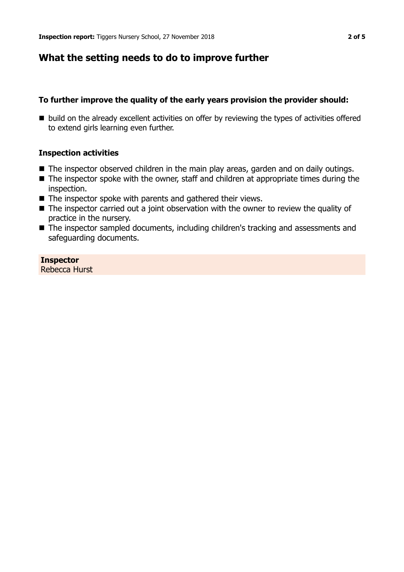## **What the setting needs to do to improve further**

#### **To further improve the quality of the early years provision the provider should:**

■ build on the already excellent activities on offer by reviewing the types of activities offered to extend girls learning even further.

#### **Inspection activities**

- $\blacksquare$  The inspector observed children in the main play areas, garden and on daily outings.
- $\blacksquare$  The inspector spoke with the owner, staff and children at appropriate times during the inspection.
- $\blacksquare$  The inspector spoke with parents and gathered their views.
- $\blacksquare$  The inspector carried out a joint observation with the owner to review the quality of practice in the nursery.
- The inspector sampled documents, including children's tracking and assessments and safeguarding documents.

**Inspector** Rebecca Hurst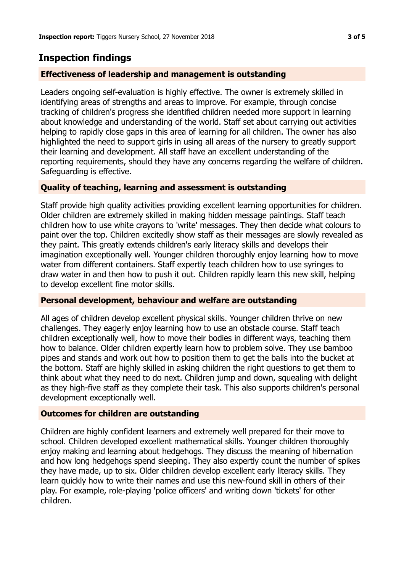## **Inspection findings**

## **Effectiveness of leadership and management is outstanding**

Leaders ongoing self-evaluation is highly effective. The owner is extremely skilled in identifying areas of strengths and areas to improve. For example, through concise tracking of children's progress she identified children needed more support in learning about knowledge and understanding of the world. Staff set about carrying out activities helping to rapidly close gaps in this area of learning for all children. The owner has also highlighted the need to support girls in using all areas of the nursery to greatly support their learning and development. All staff have an excellent understanding of the reporting requirements, should they have any concerns regarding the welfare of children. Safeguarding is effective.

## **Quality of teaching, learning and assessment is outstanding**

Staff provide high quality activities providing excellent learning opportunities for children. Older children are extremely skilled in making hidden message paintings. Staff teach children how to use white crayons to 'write' messages. They then decide what colours to paint over the top. Children excitedly show staff as their messages are slowly revealed as they paint. This greatly extends children's early literacy skills and develops their imagination exceptionally well. Younger children thoroughly enjoy learning how to move water from different containers. Staff expertly teach children how to use syringes to draw water in and then how to push it out. Children rapidly learn this new skill, helping to develop excellent fine motor skills.

## **Personal development, behaviour and welfare are outstanding**

All ages of children develop excellent physical skills. Younger children thrive on new challenges. They eagerly enjoy learning how to use an obstacle course. Staff teach children exceptionally well, how to move their bodies in different ways, teaching them how to balance. Older children expertly learn how to problem solve. They use bamboo pipes and stands and work out how to position them to get the balls into the bucket at the bottom. Staff are highly skilled in asking children the right questions to get them to think about what they need to do next. Children jump and down, squealing with delight as they high-five staff as they complete their task. This also supports children's personal development exceptionally well.

## **Outcomes for children are outstanding**

Children are highly confident learners and extremely well prepared for their move to school. Children developed excellent mathematical skills. Younger children thoroughly enjoy making and learning about hedgehogs. They discuss the meaning of hibernation and how long hedgehogs spend sleeping. They also expertly count the number of spikes they have made, up to six. Older children develop excellent early literacy skills. They learn quickly how to write their names and use this new-found skill in others of their play. For example, role-playing 'police officers' and writing down 'tickets' for other children.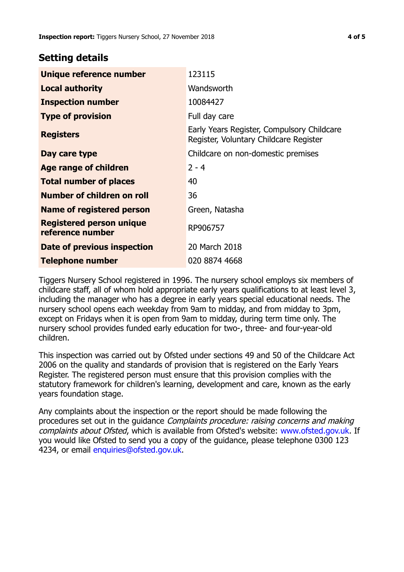## **Setting details**

| Unique reference number                             | 123115                                                                               |  |
|-----------------------------------------------------|--------------------------------------------------------------------------------------|--|
| <b>Local authority</b>                              | Wandsworth                                                                           |  |
| <b>Inspection number</b>                            | 10084427                                                                             |  |
| <b>Type of provision</b>                            | Full day care                                                                        |  |
| <b>Registers</b>                                    | Early Years Register, Compulsory Childcare<br>Register, Voluntary Childcare Register |  |
| Day care type                                       | Childcare on non-domestic premises                                                   |  |
| <b>Age range of children</b>                        | $2 - 4$                                                                              |  |
| <b>Total number of places</b>                       | 40                                                                                   |  |
| Number of children on roll                          | 36                                                                                   |  |
| Name of registered person                           | Green, Natasha                                                                       |  |
| <b>Registered person unique</b><br>reference number | RP906757                                                                             |  |
| Date of previous inspection                         | 20 March 2018                                                                        |  |
| Telephone number                                    | 020 8874 4668                                                                        |  |

Tiggers Nursery School registered in 1996. The nursery school employs six members of childcare staff, all of whom hold appropriate early years qualifications to at least level 3, including the manager who has a degree in early years special educational needs. The nursery school opens each weekday from 9am to midday, and from midday to 3pm, except on Fridays when it is open from 9am to midday, during term time only. The nursery school provides funded early education for two-, three- and four-year-old children.

This inspection was carried out by Ofsted under sections 49 and 50 of the Childcare Act 2006 on the quality and standards of provision that is registered on the Early Years Register. The registered person must ensure that this provision complies with the statutory framework for children's learning, development and care, known as the early years foundation stage.

Any complaints about the inspection or the report should be made following the procedures set out in the guidance Complaints procedure: raising concerns and making complaints about Ofsted, which is available from Ofsted's website: www.ofsted.gov.uk. If you would like Ofsted to send you a copy of the guidance, please telephone 0300 123 4234, or email [enquiries@ofsted.gov.uk.](mailto:enquiries@ofsted.gov.uk)